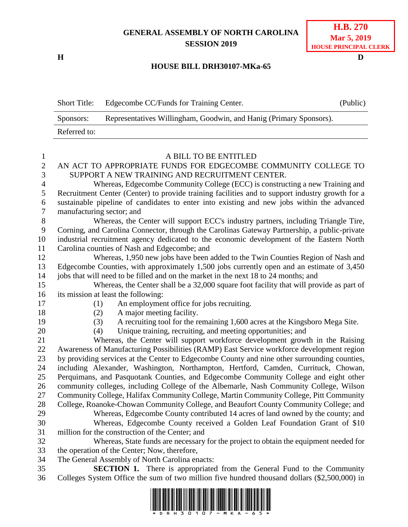## **GENERAL ASSEMBLY OF NORTH CAROLINA SESSION 2019**

**H D**

## **H.B. 270 Mar 5, 2019 HOUSE PRINCIPAL CLERK**

## **HOUSE BILL DRH30107-MKa-65**

Short Title: Edgecombe CC/Funds for Training Center. (Public)

|                  | Representatives Willingham, Goodwin, and Hanig (Primary Sponsors).<br>Sponsors:                                                                                                           |
|------------------|-------------------------------------------------------------------------------------------------------------------------------------------------------------------------------------------|
|                  | Referred to:                                                                                                                                                                              |
|                  |                                                                                                                                                                                           |
| $\mathbf{1}$     | A BILL TO BE ENTITLED                                                                                                                                                                     |
| $\boldsymbol{2}$ | AN ACT TO APPROPRIATE FUNDS FOR EDGECOMBE COMMUNITY COLLEGE TO                                                                                                                            |
| 3                | SUPPORT A NEW TRAINING AND RECRUITMENT CENTER.                                                                                                                                            |
| 4                | Whereas, Edgecombe Community College (ECC) is constructing a new Training and                                                                                                             |
| 5                | Recruitment Center (Center) to provide training facilities and to support industry growth for a                                                                                           |
| 6                | sustainable pipeline of candidates to enter into existing and new jobs within the advanced                                                                                                |
| $\boldsymbol{7}$ | manufacturing sector; and                                                                                                                                                                 |
| $8\,$            | Whereas, the Center will support ECC's industry partners, including Triangle Tire,                                                                                                        |
| 9                | Corning, and Carolina Connector, through the Carolinas Gateway Partnership, a public-private                                                                                              |
| 10               | industrial recruitment agency dedicated to the economic development of the Eastern North                                                                                                  |
| 11               | Carolina counties of Nash and Edgecombe; and                                                                                                                                              |
| 12               | Whereas, 1,950 new jobs have been added to the Twin Counties Region of Nash and                                                                                                           |
| 13               | Edgecombe Counties, with approximately 1,500 jobs currently open and an estimate of 3,450                                                                                                 |
| 14               | jobs that will need to be filled and on the market in the next 18 to 24 months; and                                                                                                       |
| 15               | Whereas, the Center shall be a 32,000 square foot facility that will provide as part of                                                                                                   |
| 16               | its mission at least the following:                                                                                                                                                       |
| 17               | An employment office for jobs recruiting.<br>(1)                                                                                                                                          |
| 18               | A major meeting facility.<br>(2)                                                                                                                                                          |
| 19               | A recruiting tool for the remaining 1,600 acres at the Kingsboro Mega Site.<br>(3)                                                                                                        |
| 20               | Unique training, recruiting, and meeting opportunities; and<br>(4)                                                                                                                        |
| 21               | Whereas, the Center will support workforce development growth in the Raising                                                                                                              |
| 22<br>23         | Awareness of Manufacturing Possibilities (RAMP) East Service workforce development region<br>by providing services at the Center to Edgecombe County and nine other surrounding counties, |
| 24               | including Alexander, Washington, Northampton, Hertford, Camden, Currituck, Chowan,                                                                                                        |
| 25               | Perquimans, and Pasquotank Counties, and Edgecombe Community College and eight other                                                                                                      |
| 26               | community colleges, including College of the Albemarle, Nash Community College, Wilson                                                                                                    |
| 27               | Community College, Halifax Community College, Martin Community College, Pitt Community                                                                                                    |
| 28               | College, Roanoke-Chowan Community College, and Beaufort County Community College; and                                                                                                     |
| 29               | Whereas, Edgecombe County contributed 14 acres of land owned by the county; and                                                                                                           |
| 30               | Whereas, Edgecombe County received a Golden Leaf Foundation Grant of \$10                                                                                                                 |
| 31               | million for the construction of the Center; and                                                                                                                                           |
| 32               | Whereas, State funds are necessary for the project to obtain the equipment needed for                                                                                                     |
| 33               | the operation of the Center; Now, therefore,                                                                                                                                              |
| 34               | The General Assembly of North Carolina enacts:                                                                                                                                            |
| 35               | <b>SECTION 1.</b> There is appropriated from the General Fund to the Community                                                                                                            |
| 36               | Colleges System Office the sum of two million five hundred thousand dollars (\$2,500,000) in                                                                                              |
|                  | I ISBN 1988 ISBN 1988 BILD INN BORD IN NEW BRITISH IN BERBEL ISBN 1988 ISBN 1988 BILD IN 1988 I                                                                                           |

<u>AN AN AN AN GAN ÀN THÀ HẦ HẦ HI TH</u>